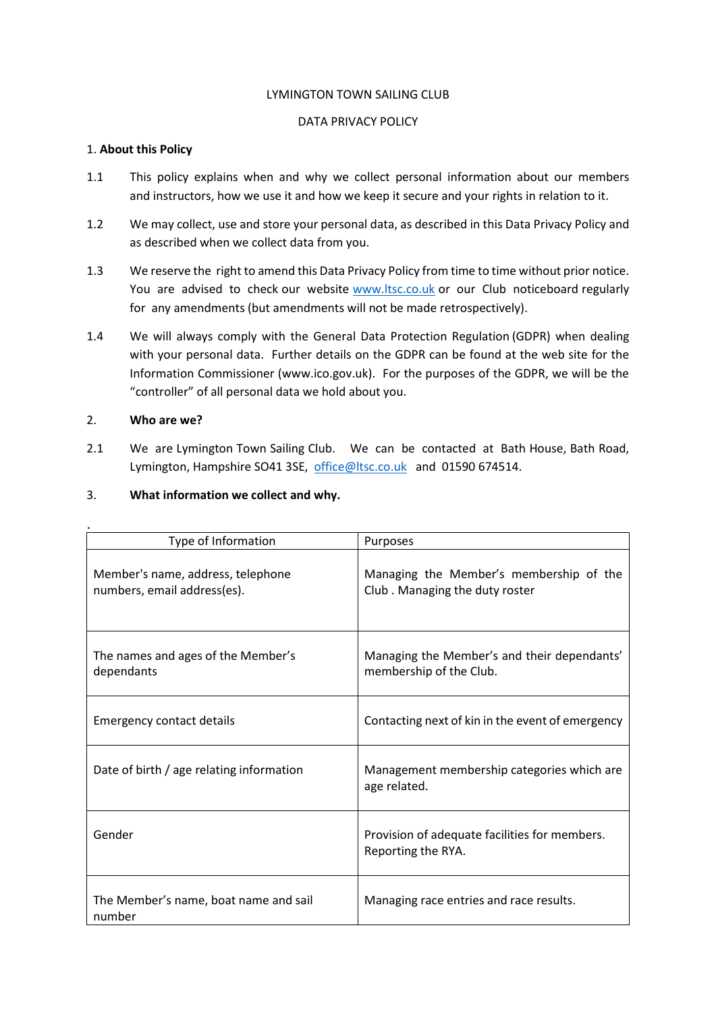#### LYMINGTON TOWN SAILING CLUB

#### DATA PRIVACY POLICY

#### 1. **About this Policy**

- 1.1 This policy explains when and why we collect personal information about our members and instructors, how we use it and how we keep it secure and your rights in relation to it.
- 1.2 We may collect, use and store your personal data, as described in this Data Privacy Policy and as described when we collect data from you.
- 1.3 We reserve the right to amend this Data Privacy Policy from time to time without prior notice. You are advised to check our website [www.ltsc.co.uk](http://www.ltsc.co.uk/) or our Club noticeboard regularly for any amendments (but amendments will not be made retrospectively).
- 1.4 We will always comply with the General Data Protection Regulation (GDPR) when dealing with your personal data. Further details on the GDPR can be found at the web site for the Information Commissioner (www.ico.gov.uk). For the purposes of the GDPR, we will be the "controller" of all personal data we hold about you.

## 2. **Who are we?**

2.1 We are Lymington Town Sailing Club. We can be contacted at Bath House, Bath Road, Lymington, Hampshire SO41 3SE, [office@ltsc.co.uk](mailto:office@ltsc.co.uk) and 01590 674514.

## 3. **What information we collect and why.**

| Type of Information                                              | Purposes                                                                  |
|------------------------------------------------------------------|---------------------------------------------------------------------------|
| Member's name, address, telephone<br>numbers, email address(es). | Managing the Member's membership of the<br>Club. Managing the duty roster |
| The names and ages of the Member's<br>dependants                 | Managing the Member's and their dependants'<br>membership of the Club.    |
| <b>Emergency contact details</b>                                 | Contacting next of kin in the event of emergency                          |
| Date of birth / age relating information                         | Management membership categories which are<br>age related.                |
| Gender                                                           | Provision of adequate facilities for members.<br>Reporting the RYA.       |
| The Member's name, boat name and sail<br>number                  | Managing race entries and race results.                                   |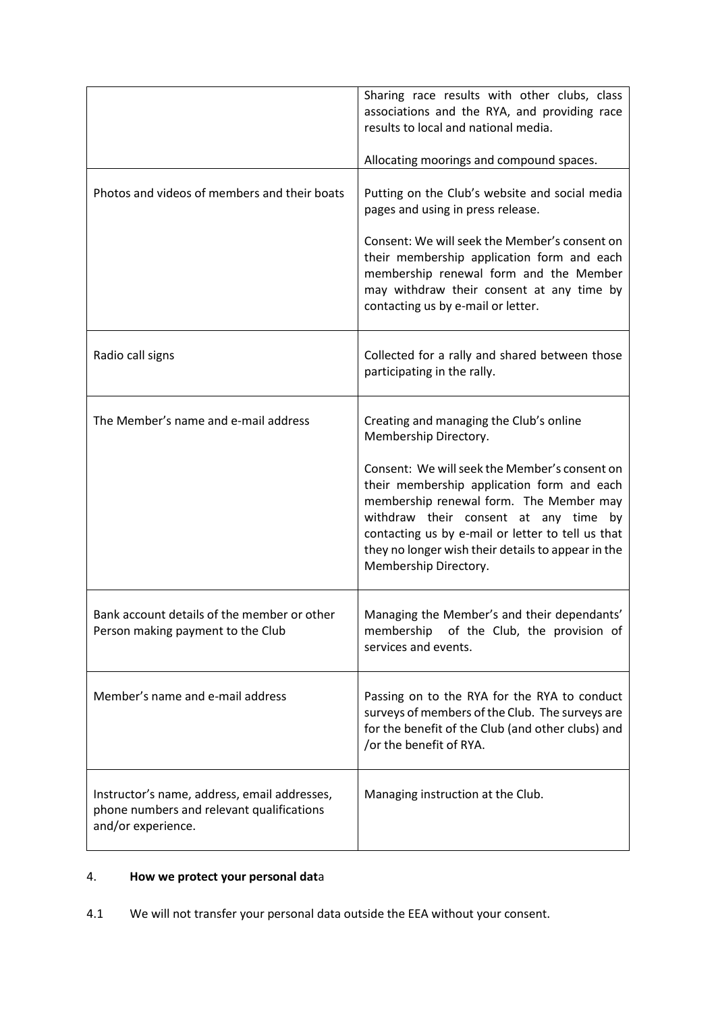|                                                                                                                 | Sharing race results with other clubs, class<br>associations and the RYA, and providing race<br>results to local and national media.<br>Allocating moorings and compound spaces.                                                                                                                                                                                                        |
|-----------------------------------------------------------------------------------------------------------------|-----------------------------------------------------------------------------------------------------------------------------------------------------------------------------------------------------------------------------------------------------------------------------------------------------------------------------------------------------------------------------------------|
| Photos and videos of members and their boats                                                                    | Putting on the Club's website and social media<br>pages and using in press release.<br>Consent: We will seek the Member's consent on<br>their membership application form and each<br>membership renewal form and the Member<br>may withdraw their consent at any time by<br>contacting us by e-mail or letter.                                                                         |
| Radio call signs                                                                                                | Collected for a rally and shared between those<br>participating in the rally.                                                                                                                                                                                                                                                                                                           |
| The Member's name and e-mail address                                                                            | Creating and managing the Club's online<br>Membership Directory.<br>Consent: We will seek the Member's consent on<br>their membership application form and each<br>membership renewal form. The Member may<br>withdraw their consent at any time by<br>contacting us by e-mail or letter to tell us that<br>they no longer wish their details to appear in the<br>Membership Directory. |
| Bank account details of the member or other<br>Person making payment to the Club                                | Managing the Member's and their dependants'<br>membership of the Club, the provision of<br>services and events.                                                                                                                                                                                                                                                                         |
| Member's name and e-mail address                                                                                | Passing on to the RYA for the RYA to conduct<br>surveys of members of the Club. The surveys are<br>for the benefit of the Club (and other clubs) and<br>/or the benefit of RYA.                                                                                                                                                                                                         |
| Instructor's name, address, email addresses,<br>phone numbers and relevant qualifications<br>and/or experience. | Managing instruction at the Club.                                                                                                                                                                                                                                                                                                                                                       |

## 4. **How we protect your personal dat**a

4.1 We will not transfer your personal data outside the EEA without your consent.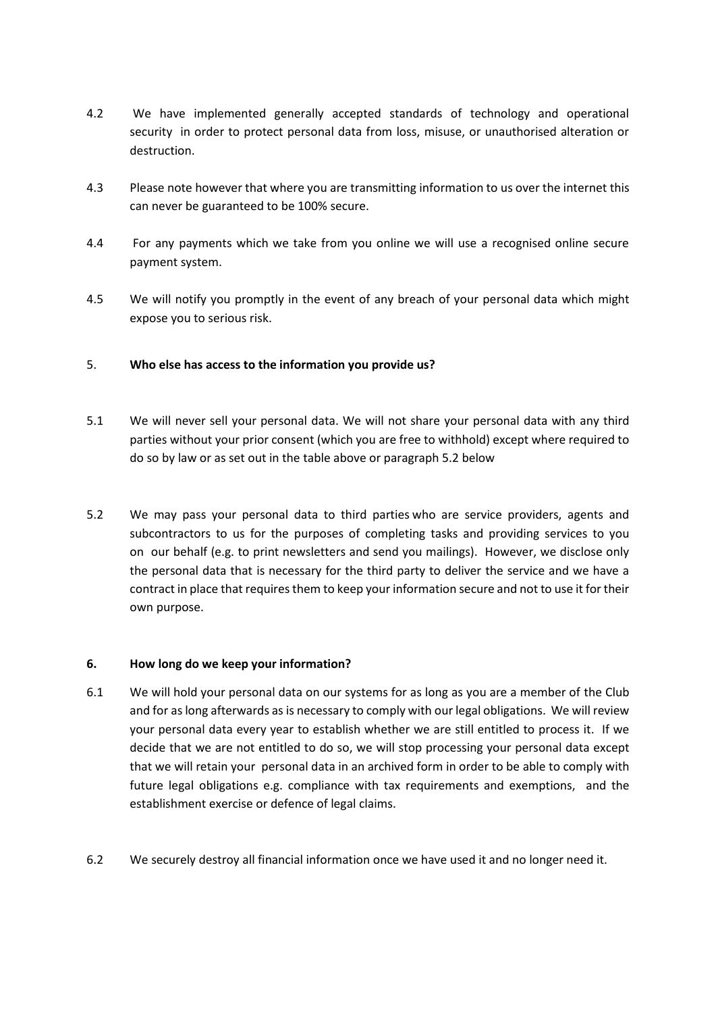- 4.2 We have implemented generally accepted standards of technology and operational security in order to protect personal data from loss, misuse, or unauthorised alteration or destruction.
- 4.3 Please note however that where you are transmitting information to us over the internet this can never be guaranteed to be 100% secure.
- 4.4 For any payments which we take from you online we will use a recognised online secure payment system.
- 4.5 We will notify you promptly in the event of any breach of your personal data which might expose you to serious risk.

## 5. **Who else has access to the information you provide us?**

- 5.1 We will never sell your personal data. We will not share your personal data with any third parties without your prior consent (which you are free to withhold) except where required to do so by law or as set out in the table above or paragraph 5.2 below
- 5.2 We may pass your personal data to third parties who are service providers, agents and subcontractors to us for the purposes of completing tasks and providing services to you on our behalf (e.g. to print newsletters and send you mailings). However, we disclose only the personal data that is necessary for the third party to deliver the service and we have a contract in place that requires them to keep your information secure and not to use it for their own purpose.

### **6. How long do we keep your information?**

- 6.1 We will hold your personal data on our systems for as long as you are a member of the Club and for as long afterwards as is necessary to comply with our legal obligations. We will review your personal data every year to establish whether we are still entitled to process it. If we decide that we are not entitled to do so, we will stop processing your personal data except that we will retain your personal data in an archived form in order to be able to comply with future legal obligations e.g. compliance with tax requirements and exemptions, and the establishment exercise or defence of legal claims.
- 6.2 We securely destroy all financial information once we have used it and no longer need it.